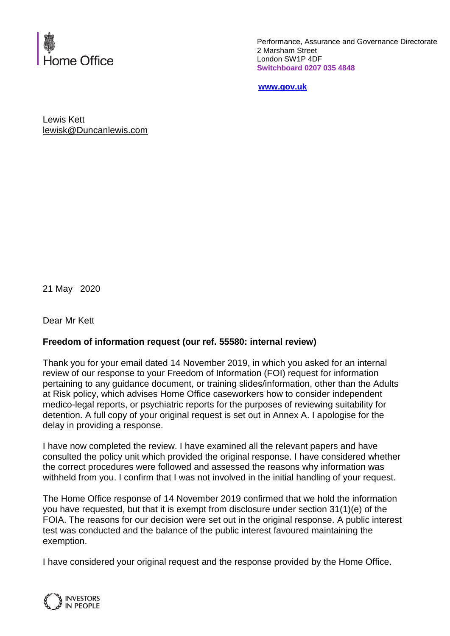

Performance, Assurance and Governance Directorate 2 Marsham Street London SW1P 4DF **Switchboard 0207 035 4848**

**[www.gov.uk](http://www.gov.uk/)**

Lewis Kett [lewisk@Duncanlewis.com](mailto:lewisk@Duncanlewis.com)

21 May 2020

Dear Mr Kett

## **Freedom of information request (our ref. 55580: internal review)**

Thank you for your email dated 14 November 2019, in which you asked for an internal review of our response to your Freedom of Information (FOI) request for information pertaining to any guidance document, or training slides/information, other than the Adults at Risk policy, which advises Home Office caseworkers how to consider independent medico-legal reports, or psychiatric reports for the purposes of reviewing suitability for detention. A full copy of your original request is set out in Annex A. I apologise for the delay in providing a response.

I have now completed the review. I have examined all the relevant papers and have consulted the policy unit which provided the original response. I have considered whether the correct procedures were followed and assessed the reasons why information was withheld from you. I confirm that I was not involved in the initial handling of your request.

The Home Office response of 14 November 2019 confirmed that we hold the information you have requested, but that it is exempt from disclosure under section 31(1)(e) of the FOIA. The reasons for our decision were set out in the original response. A public interest test was conducted and the balance of the public interest favoured maintaining the exemption.

I have considered your original request and the response provided by the Home Office.

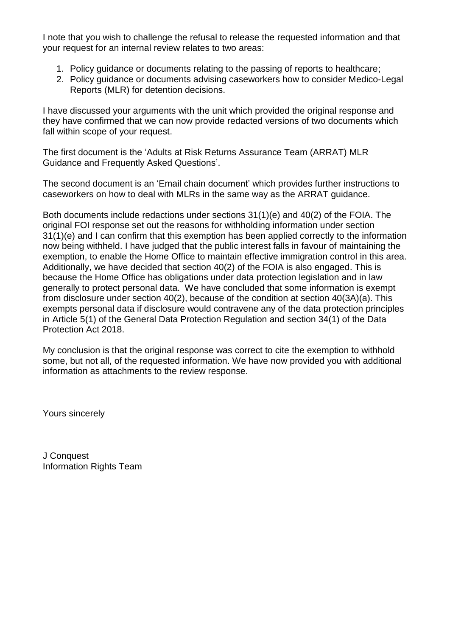I note that you wish to challenge the refusal to release the requested information and that your request for an internal review relates to two areas:

- 1. Policy guidance or documents relating to the passing of reports to healthcare;
- 2. Policy guidance or documents advising caseworkers how to consider Medico-Legal Reports (MLR) for detention decisions.

I have discussed your arguments with the unit which provided the original response and they have confirmed that we can now provide redacted versions of two documents which fall within scope of your request.

The first document is the 'Adults at Risk Returns Assurance Team (ARRAT) MLR Guidance and Frequently Asked Questions'.

The second document is an 'Email chain document' which provides further instructions to caseworkers on how to deal with MLRs in the same way as the ARRAT guidance.

Both documents include redactions under sections 31(1)(e) and 40(2) of the FOIA. The original FOI response set out the reasons for withholding information under section 31(1)(e) and I can confirm that this exemption has been applied correctly to the information now being withheld. I have judged that the public interest falls in favour of maintaining the exemption, to enable the Home Office to maintain effective immigration control in this area. Additionally, we have decided that section 40(2) of the FOIA is also engaged. This is because the Home Office has obligations under data protection legislation and in law generally to protect personal data. We have concluded that some information is exempt from disclosure under section 40(2), because of the condition at section 40(3A)(a). This exempts personal data if disclosure would contravene any of the data protection principles in Article 5(1) of the General Data Protection Regulation and section 34(1) of the Data Protection Act 2018.

My conclusion is that the original response was correct to cite the exemption to withhold some, but not all, of the requested information. We have now provided you with additional information as attachments to the review response.

Yours sincerely

J Conquest Information Rights Team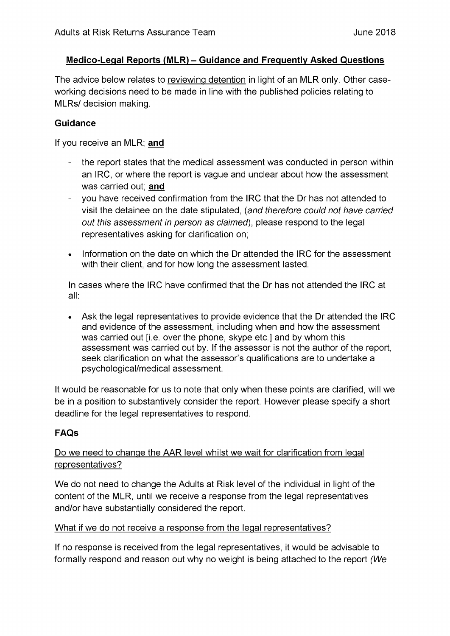### Medico-Legal Reports (MLR) – Guidance and Frequently Asked Questions

The advice below relates to reviewing detention in light of an MLR only. Other caseworking decisions need to be made in line with the published policies relating to MLRs/ decision making.

#### **Guidance**

If you receive an MLR; and

- the report states that the medical assessment was conducted in person within an IRC, or where the report is vague and unclear about how the assessment was carried out: and
- $\frac{1}{2}$ you have received confirmation from the IRC that the Dr has not attended to visit the detainee on the date stipulated, (and therefore could not have carried out this assessment in person as claimed), please respond to the legal representatives asking for clarification on:
- Information on the date on which the Dr attended the IRC for the assessment with their client, and for how long the assessment lasted.

In cases where the IRC have confirmed that the Dr has not attended the IRC at all:

• Ask the legal representatives to provide evidence that the Dr attended the IRC and evidence of the assessment, including when and how the assessment was carried out [i.e. over the phone, skype etc.] and by whom this assessment was carried out by. If the assessor is not the author of the report, seek clarification on what the assessor's qualifications are to undertake a psychological/medical assessment.

It would be reasonable for us to note that only when these points are clarified, will we be in a position to substantively consider the report. However please specify a short deadline for the legal representatives to respond.

## **FAQs**

## Do we need to change the AAR level whilst we wait for clarification from legal representatives?

We do not need to change the Adults at Risk level of the individual in light of the content of the MLR, until we receive a response from the legal representatives and/or have substantially considered the report.

#### What if we do not receive a response from the legal representatives?

If no response is received from the legal representatives, it would be advisable to formally respond and reason out why no weight is being attached to the report (We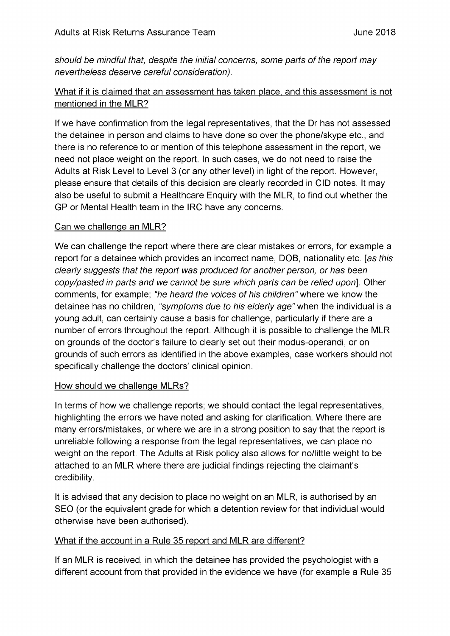should be mindful that, despite the initial concerns, some parts of the report may nevertheless deserve careful consideration).

# What if it is claimed that an assessment has taken place, and this assessment is not mentioned in the MLR?

If we have confirmation from the legal representatives, that the Dr has not assessed the detainee in person and claims to have done so over the phone/skype etc., and there is no reference to or mention of this telephone assessment in the report, we need not place weight on the report. In such cases, we do not need to raise the Adults at Risk Level to Level 3 (or any other level) in light of the report. However, please ensure that details of this decision are clearly recorded in CID notes. It may also be useful to submit a Healthcare Enguiry with the MLR, to find out whether the GP or Mental Health team in the IRC have any concerns.

### Can we challenge an MLR?

We can challenge the report where there are clear mistakes or errors, for example a report for a detainee which provides an incorrect name, DOB, nationality etc. [as this clearly suggests that the report was produced for another person, or has been copy/pasted in parts and we cannot be sure which parts can be relied upon]. Other comments, for example: "he heard the voices of his children" where we know the detainee has no children, "symptoms due to his elderly age" when the individual is a young adult, can certainly cause a basis for challenge, particularly if there are a number of errors throughout the report. Although it is possible to challenge the MLR on grounds of the doctor's failure to clearly set out their modus-operandi, or on grounds of such errors as identified in the above examples, case workers should not specifically challenge the doctors' clinical opinion.

#### How should we challenge MLRs?

In terms of how we challenge reports; we should contact the legal representatives, highlighting the errors we have noted and asking for clarification. Where there are many errors/mistakes, or where we are in a strong position to say that the report is unreliable following a response from the legal representatives, we can place no weight on the report. The Adults at Risk policy also allows for no/little weight to be attached to an MLR where there are judicial findings rejecting the claimant's credibility.

It is advised that any decision to place no weight on an MLR, is authorised by an SEO (or the equivalent grade for which a detention review for that individual would otherwise have been authorised).

## What if the account in a Rule 35 report and MLR are different?

If an MLR is received, in which the detainee has provided the psychologist with a different account from that provided in the evidence we have (for example a Rule 35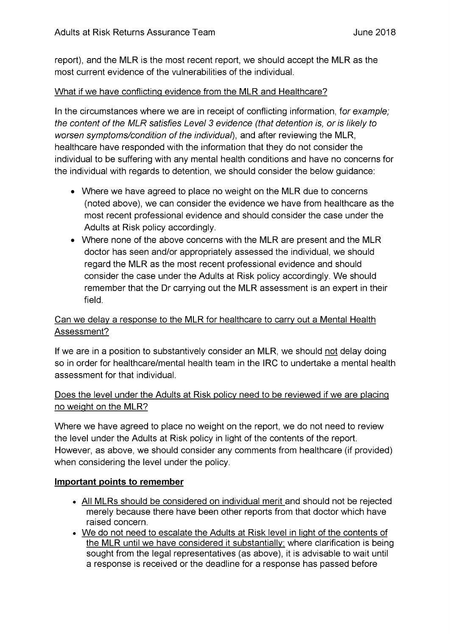report), and the MLR is the most recent report, we should accept the MLR as the most current evidence of the vulnerabilities of the individual.

### What if we have conflicting evidence from the MLR and Healthcare?

In the circumstances where we are in receipt of conflicting information, for example; the content of the MLR satisfies Level 3 evidence (that detention is, or is likely to worsen symptoms/condition of the individual), and after reviewing the MLR, healthcare have responded with the information that they do not consider the individual to be suffering with any mental health conditions and have no concerns for the individual with regards to detention, we should consider the below guidance:

- Where we have agreed to place no weight on the MLR due to concerns (noted above), we can consider the evidence we have from healthcare as the most recent professional evidence and should consider the case under the Adults at Risk policy accordingly.
- Where none of the above concerns with the MLR are present and the MLR doctor has seen and/or appropriately assessed the individual, we should regard the MLR as the most recent professional evidence and should consider the case under the Adults at Risk policy accordingly. We should remember that the Dr carrying out the MLR assessment is an expert in their field.

## Can we delay a response to the MLR for healthcare to carry out a Mental Health Assessment?

If we are in a position to substantively consider an MLR, we should not delay doing so in order for healthcare/mental health team in the IRC to undertake a mental health assessment for that individual.

# Does the level under the Adults at Risk policy need to be reviewed if we are placing no weight on the MLR?

Where we have agreed to place no weight on the report, we do not need to review the level under the Adults at Risk policy in light of the contents of the report. However, as above, we should consider any comments from healthcare (if provided) when considering the level under the policy.

## Important points to remember

- All MLRs should be considered on individual merit and should not be rejected merely because there have been other reports from that doctor which have raised concern.
- We do not need to escalate the Adults at Risk level in light of the contents of the MLR until we have considered it substantially; where clarification is being sought from the legal representatives (as above), it is advisable to wait until a response is received or the deadline for a response has passed before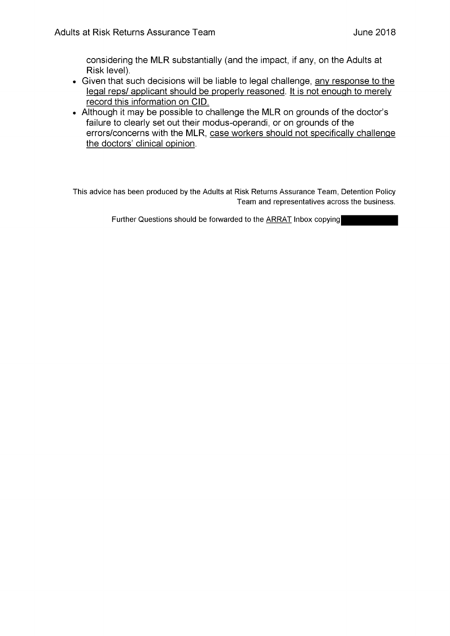considering the MLR substantially (and the impact, if any, on the Adults at Risk level).

- Given that such decisions will be liable to legal challenge, any response to the legal reps/ applicant should be properly reasoned. It is not enough to merely record this information on CID.
- Although it may be possible to challenge the MLR on grounds of the doctor's failure to clearly set out their modus-operandi, or on grounds of the errors/concerns with the MLR, case workers should not specifically challenge the doctors' clinical opinion.

This advice has been produced by the Adults at Risk Returns Assurance Team, Detention Policy Team and representatives across the business.

Further Questions should be forwarded to the ARRAT Inbox copying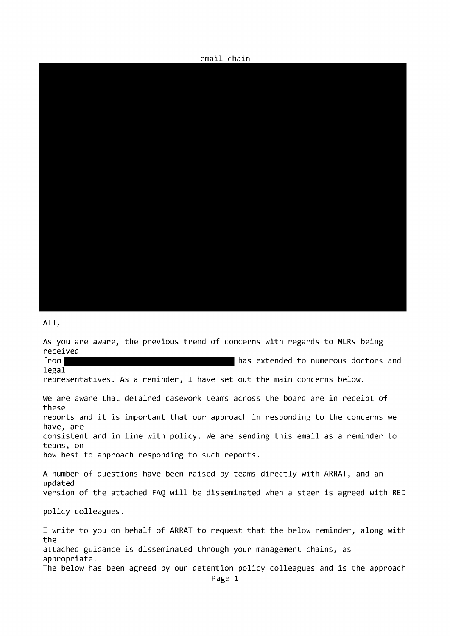email chain



All,

As you are aware, the previous trend of concerns with regards to MLRs being received from | has extended to numerous doctors and

 $legal$ representatives. As a reminder, I have set out the main concerns below.

We are aware that detained casework teams across the board are in receipt of these reports and it is important that our approach in responding to the concerns we have, are consistent and in line with policy. We are sending this email as a reminder to teams, on how best to approach responding to such reports.

A number of questions have been raised by teams directly with ARRAT, and an updated version of the attached FAQ will be disseminated when a steer is agreed with RED

policy colleagues.

I write to you on behalf of ARRAT to request that the below reminder, along with the attached guidance is disseminated through your management chains, as appropriate. The below has been agreed by our detention policy colleagues and is the approach Page 1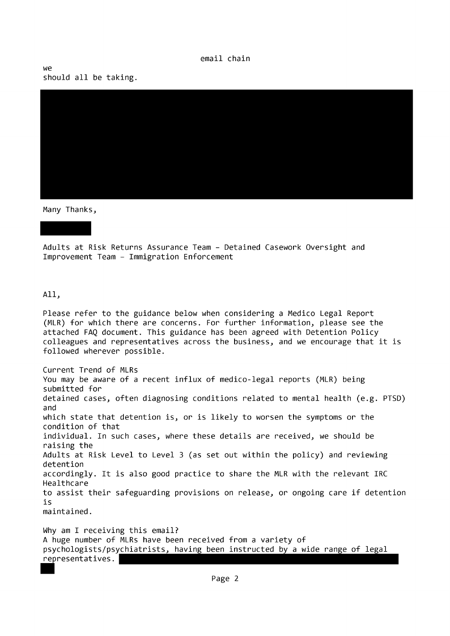**MA** should all be taking.



Many Thanks,

Adults at Risk Returns Assurance Team - Detained Casework Oversight and Improvement Team - Immigration Enforcement

All,

Please refer to the guidance below when considering a Medico Legal Report (MLR) for which there are concerns. For further information, please see the attached FAQ document. This guidance has been agreed with Detention Policy colleagues and representatives across the business, and we encourage that it is followed wherever possible.

Current Trend of MLRs You may be aware of a recent influx of medico-legal reports (MLR) being submitted for detained cases, often diagnosing conditions related to mental health (e.g. PTSD) and which state that detention is, or is likely to worsen the symptoms or the condition of that individual. In such cases, where these details are received, we should be raising the Adults at Risk Level to Level 3 (as set out within the policy) and reviewing detention accordingly. It is also good practice to share the MLR with the relevant IRC Healthcare to assist their safeguarding provisions on release, or ongoing care if detention is maintained.

Why am I receiving this email? A huge number of MLRs have been received from a variety of psychologists/psychiatrists, having been instructed by a wide range of legal representatives.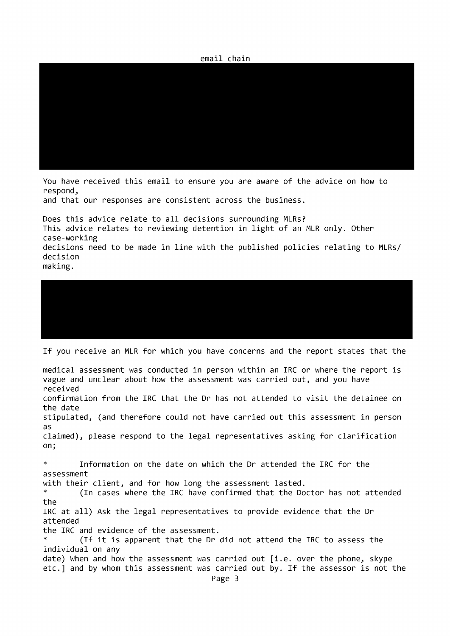

You have received this email to ensure you are aware of the advice on how to respond,

and that our responses are consistent across the business.

Does this advice relate to all decisions surrounding MLRs? This advice relates to reviewing detention in light of an MLR only. Other case-working decisions need to be made in line with the published policies relating to MLRs/ decision making.



If you receive an MLR for which you have concerns and the report states that the

medical assessment was conducted in person within an IRC or where the report is vague and unclear about how the assessment was carried out, and you have received confirmation from the IRC that the Dr has not attended to visit the detainee on the date stipulated, (and therefore could not have carried out this assessment in person as. claimed), please respond to the legal representatives asking for clarification on;  $\ast$ Information on the date on which the Dr attended the IRC for the assessment with their client, and for how long the assessment lasted.  $\ast$ (In cases where the IRC have confirmed that the Doctor has not attended the IRC at all) Ask the legal representatives to provide evidence that the Dr attended the IRC and evidence of the assessment. (If it is apparent that the Dr did not attend the IRC to assess the individual on any date) When and how the assessment was carried out [i.e. over the phone, skype etc.] and by whom this assessment was carried out by. If the assessor is not the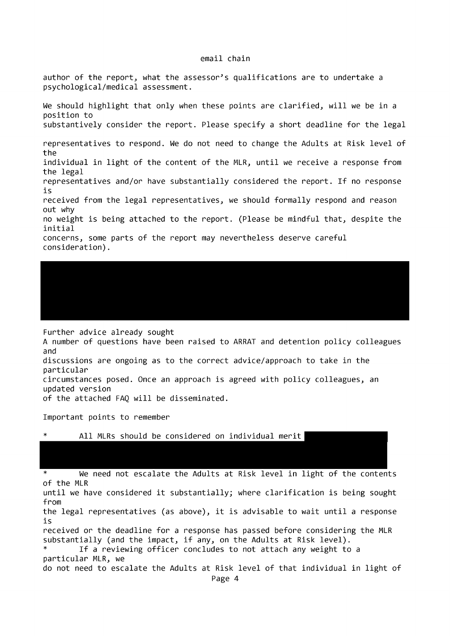author of the report, what the assessor's qualifications are to undertake a psychological/medical assessment.

We should highlight that only when these points are clarified, will we be in a position to substantively consider the report. Please specify a short deadline for the legal representatives to respond. We do not need to change the Adults at Risk level of  $th$  $\alpha$ individual in light of the content of the MLR, until we receive a response from the legal representatives and/or have substantially considered the report. If no response is received from the legal representatives, we should formally respond and reason out why no weight is being attached to the report. (Please be mindful that, despite the initial concerns, some parts of the report may nevertheless deserve careful consideration).

Further advice already sought

A number of questions have been raised to ARRAT and detention policy colleagues and

discussions are ongoing as to the correct advice/approach to take in the particular

circumstances posed. Once an approach is agreed with policy colleagues, an updated version

of the attached FAO will be disseminated.

Important points to remember

|  |  |  |  |  | All MLRs should be considered on individual merit |  |  |  |
|--|--|--|--|--|---------------------------------------------------|--|--|--|
|--|--|--|--|--|---------------------------------------------------|--|--|--|

We need not escalate the Adults at Risk level in light of the contents of the MLR until we have considered it substantially; where clarification is being sought from the legal representatives (as above), it is advisable to wait until a response is received or the deadline for a response has passed before considering the MLR substantially (and the impact, if any, on the Adults at Risk level).  $\ast$ If a reviewing officer concludes to not attach any weight to a particular MLR, we do not need to escalate the Adults at Risk level of that individual in light of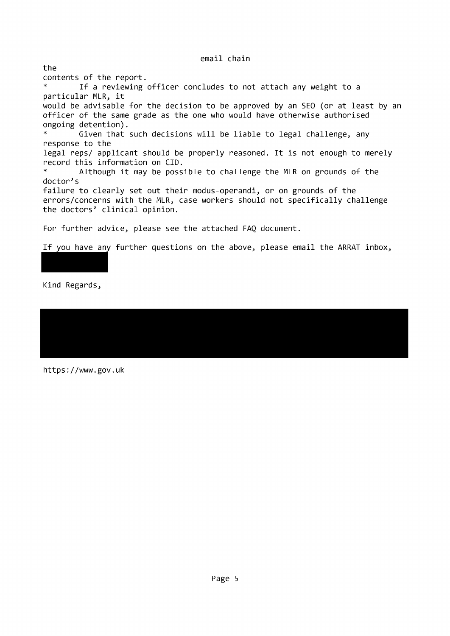the contents of the report. If a reviewing officer concludes to not attach any weight to a  $\ast$ particular MLR, it would be advisable for the decision to be approved by an SEO (or at least by an officer of the same grade as the one who would have otherwise authorised ongoing detention).  $\ast$ Given that such decisions will be liable to legal challenge, any response to the legal reps/ applicant should be properly reasoned. It is not enough to merely record this information on CID.  $\ast$ Although it may be possible to challenge the MLR on grounds of the doctor's failure to clearly set out their modus-operandi, or on grounds of the errors/concerns with the MLR, case workers should not specifically challenge the doctors' clinical opinion. For further advice, please see the attached FAQ document.

If you have any further questions on the above, please email the ARRAT inbox,

Kind Regards,

https://www.gov.uk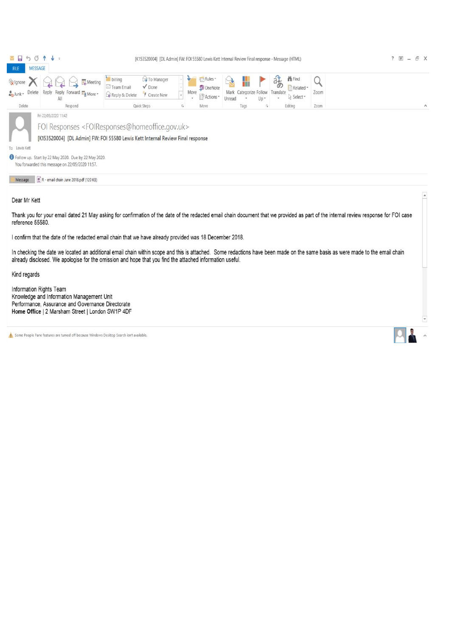|                                                                  | ■日うび↑↓→                                                                                                                                                                                     |                                                              |                                     |                                                      | [K153520004] [DL Admin] FW: FOI 55580 Lewis Kett Internal Review Final response - Message (HTML) |                                                                |      | ? 图<br>F X<br>$\sim$ |
|------------------------------------------------------------------|---------------------------------------------------------------------------------------------------------------------------------------------------------------------------------------------|--------------------------------------------------------------|-------------------------------------|------------------------------------------------------|--------------------------------------------------------------------------------------------------|----------------------------------------------------------------|------|----------------------|
| <b>FILE</b>                                                      | <b>MESSAGE</b>                                                                                                                                                                              |                                                              |                                     |                                                      |                                                                                                  |                                                                |      |                      |
| <b>Ex</b> Ignore<br>Delete<br>$\frac{1}{20}$ Junk $\overline{ }$ | Meeting<br>Reply Forward Fig More -<br>Reply<br>All                                                                                                                                         | billing<br>$\sqrt{Done}$<br>FII Team Email<br>Reply & Delete | <b>S</b> To Manager<br>F Create New | Fight Rules<br><b>D</b> OneNote<br>Move<br>Actions * | Mark Categorize Follow<br>Unread<br>Up-                                                          | <b>普Find</b><br>暗<br>Related *<br>Translate<br>p Select *<br>÷ | Zoom |                      |
| Delete                                                           | Respond                                                                                                                                                                                     | Quick Steps                                                  |                                     | Move                                                 | Tags<br>$\sqrt{\frac{1}{2}}$                                                                     | Editing                                                        | Zoom | $\wedge$             |
|                                                                  | Fri 22/05/2020 11:42<br>FOI Responses <foiresponses@homeoffice.gov.uk><br/>[K153520004] [DL Admin] FW: FOI 55580 Lewis Kett Internal Review Final response</foiresponses@homeoffice.gov.uk> |                                                              |                                     |                                                      |                                                                                                  |                                                                |      |                      |
| To Lewis Kett                                                    |                                                                                                                                                                                             |                                                              |                                     |                                                      |                                                                                                  |                                                                |      |                      |
|                                                                  | I Follow up. Start by 22 May 2020. Due by 22 May 2020.<br>You forwarded this message on 22/05/2020 11:57.                                                                                   |                                                              |                                     |                                                      |                                                                                                  |                                                                |      |                      |
| Message                                                          | CR - email chain June 2018.pdf (120 KB)                                                                                                                                                     |                                                              |                                     |                                                      |                                                                                                  |                                                                |      |                      |

Dear Mr Kett

Thank you for your email dated 21 May asking for confirmation of the date of the redacted email chain document that we provided as part of the internal review response for FOI case reference 55580.

I confirm that the date of the redacted email chain that we have already provided was 18 December 2018.

In checking the date we located an additional email chain within scope and this is attached. Some redactions have been made on the same basis as were made to the email chain already disclosed. We apologise for the omission and hope that you find the attached information useful.

Kind regards

Information Rights Team Knowledge and Information Management Unit Performance, Assurance and Governance Directorate Home Office | 2 Marsham Street | London SW1P 4DF

Some People Pane features are turned off because Windows Desktop Search isn't available.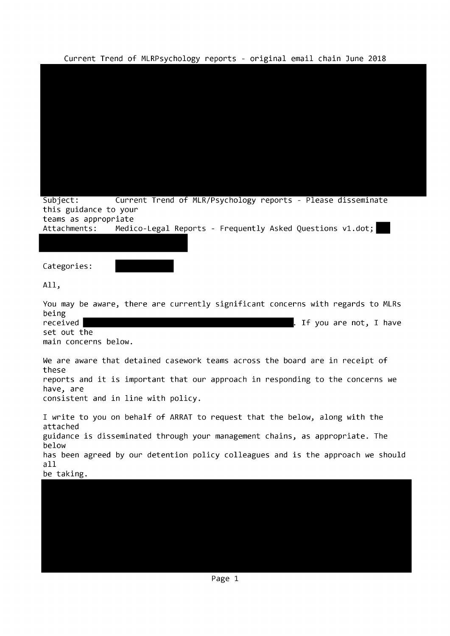Current Trend of MLRPsychology reports - original email chain June 2018

| $\frac{1}{2}$ can be the contracted by chosen $\frac{1}{2}$<br>of referred conditions to respect the core |
|-----------------------------------------------------------------------------------------------------------|
|                                                                                                           |
|                                                                                                           |
|                                                                                                           |
|                                                                                                           |
|                                                                                                           |
|                                                                                                           |
|                                                                                                           |
|                                                                                                           |
|                                                                                                           |
| Current Trend of MLR/Psychology reports - Please disseminate<br>Subject:                                  |
| this guidance to your<br>teams as appropriate                                                             |
| Attachments:<br>Medico-Legal Reports - Frequently Asked Questions v1.dot;                                 |
|                                                                                                           |
|                                                                                                           |
| Categories:                                                                                               |
| All,                                                                                                      |
| You may be aware, there are currently significant concerns with regards to MLRs                           |
| being<br>received<br>If you are not, I have                                                               |
| set out the                                                                                               |
| main concerns below.                                                                                      |
| We are aware that detained casework teams across the board are in receipt of<br>these                     |
| reports and it is important that our approach in responding to the concerns we<br>have, are               |
| consistent and in line with policy.                                                                       |
| I write to you on behalf of ARRAT to request that the below, along with the                               |
| attached<br>guidance is disseminated through your management chains, as appropriate. The                  |
| below                                                                                                     |
| has been agreed by our detention policy colleagues and is the approach we should<br>all                   |
| be taking.                                                                                                |
|                                                                                                           |
|                                                                                                           |
|                                                                                                           |
|                                                                                                           |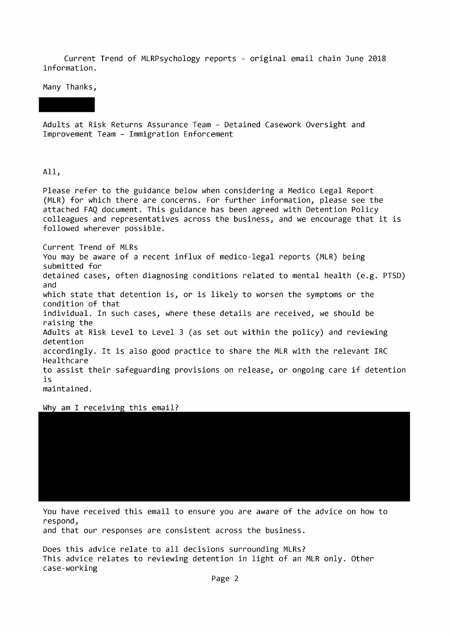Current Trend of MLRPsychology reports - original email chain June 2018 information.

Many Thanks,

Adults at Risk Returns Assurance Team - Detained Casework Oversight and Improvement Team - Immigration Enforcement

All,

Please refer to the guidance below when considering a Medico Legal Report (MLR) for which there are concerns. For further information, please see the attached FAQ document. This guidance has been agreed with Detention Policy colleagues and representatives across the business, and we encourage that it is followed wherever possible.

Current Trend of MLRs You may be aware of a recent influx of medico-legal reports (MLR) being submitted for detained cases, often diagnosing conditions related to mental health (e.g. PTSD) and which state that detention is, or is likely to worsen the symptoms or the condition of that individual. In such cases, where these details are received, we should be raising the Adults at Risk Level to Level 3 (as set out within the policy) and reviewing detention accordingly. It is also good practice to share the MLR with the relevant IRC Healthcare to assist their safeguarding provisions on release, or ongoing care if detention is maintained.

Why am I receiving this email?

You have received this email to ensure you are aware of the advice on how to respond,

and that our responses are consistent across the business.

Does this advice relate to all decisions surrounding MLRs? This advice relates to reviewing detention in light of an MLR only. Other case-working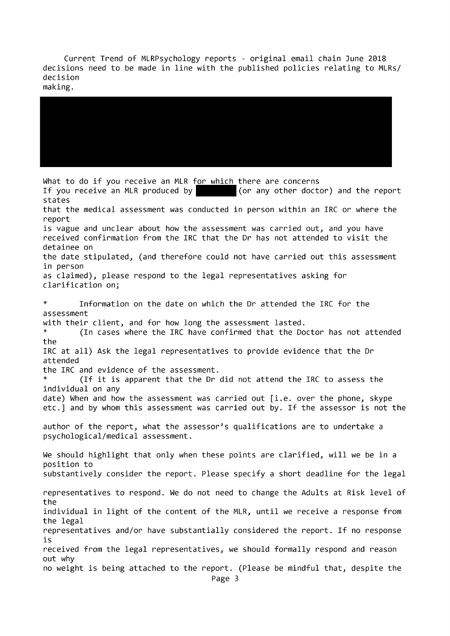Current Trend of MLRPsychology reports - original email chain June 2018 decisions need to be made in line with the published policies relating to MLRs/ decision

making.

What to do if you receive an MLR for which there are concerns (or any other doctor) and the report If you receive an MLR produced by states that the medical assessment was conducted in person within an IRC or where the report is vague and unclear about how the assessment was carried out, and you have received confirmation from the IRC that the Dr has not attended to visit the detainee on the date stipulated, (and therefore could not have carried out this assessment in person as claimed), please respond to the legal representatives asking for clarification on;  $\ast$ Information on the date on which the Dr attended the IRC for the assessment with their client, and for how long the assessment lasted. (In cases where the IRC have confirmed that the Doctor has not attended the IRC at all) Ask the legal representatives to provide evidence that the Dr attended the IRC and evidence of the assessment.  $\ast$ (If it is apparent that the Dr did not attend the IRC to assess the individual on anv date) When and how the assessment was carried out [i.e. over the phone, skype etc.] and by whom this assessment was carried out by. If the assessor is not the author of the report, what the assessor's qualifications are to undertake a psychological/medical assessment. We should highlight that only when these points are clarified, will we be in a position to substantively consider the report. Please specify a short deadline for the legal representatives to respond. We do not need to change the Adults at Risk level of the individual in light of the content of the MLR, until we receive a response from the legal representatives and/or have substantially considered the report. If no response is received from the legal representatives, we should formally respond and reason out why no weight is being attached to the report. (Please be mindful that, despite the Page 3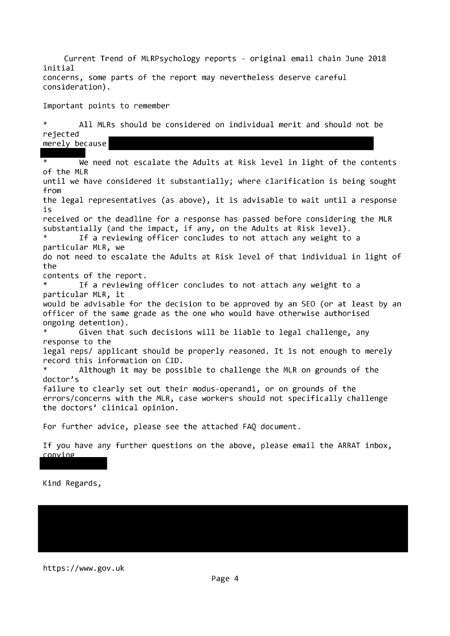Current Trend of MLRPsychology reports - original email chain June 2018 initial concerns, some parts of the report may nevertheless deserve careful consideration).

Important points to remember

 $\pmb{\ast}$ All MLRs should be considered on individual merit and should not be rejected merely because

We need not escalate the Adults at Risk level in light of the contents of the MLR until we have considered it substantially; where clarification is being sought from the legal representatives (as above), it is advisable to wait until a response is received or the deadline for a response has passed before considering the MLR substantially (and the impact, if any, on the Adults at Risk level). If a reviewing officer concludes to not attach any weight to a particular MLR, we do not need to escalate the Adults at Risk level of that individual in light of the contents of the report. If a reviewing officer concludes to not attach any weight to a particular MLR, it would be advisable for the decision to be approved by an SEO (or at least by an officer of the same grade as the one who would have otherwise authorised ongoing detention). Given that such decisions will be liable to legal challenge, any response to the legal reps/ applicant should be properly reasoned. It is not enough to merely record this information on CID. Although it may be possible to challenge the MLR on grounds of the doctor's failure to clearly set out their modus-operandi, or on grounds of the errors/concerns with the MLR, case workers should not specifically challenge the doctors' clinical opinion. For further advice, please see the attached FAQ document.

If you have any further questions on the above, please email the ARRAT inbox, conving

Kind Regards,

https://www.gov.uk